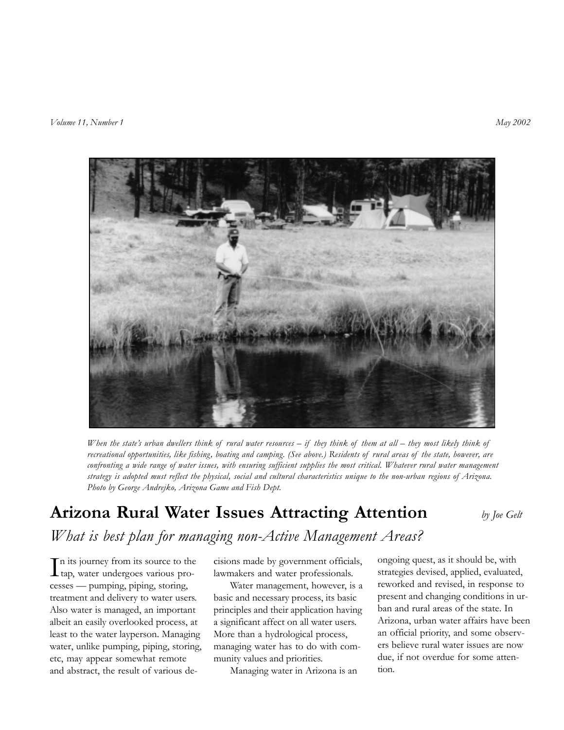

*When the state's urban dwellers think of rural water resources – if they think of them at all – they most likely think of recreational opportunities, like fishing, boating and camping. (See above.) Residents of rural areas of the state, however, are confronting a wide range of water issues, with ensuring sufficient supplies the most critical. Whatever rural water management strategy is adopted must reflect the physical, social and cultural characteristics unique to the non-urban regions of Arizona. Photo by George Andrejko, Arizona Game and Fish Dept.*

# **Arizona Rural Water Issues Attracting Attention** *by Joe Gelt What is best plan for managing non-Active Management Areas?*

 $\prod$ n its journey from its source to the tap, water undergoes various pron its journey from its source to the cesses — pumping, piping, storing, treatment and delivery to water users. Also water is managed, an important albeit an easily overlooked process, at least to the water layperson. Managing water, unlike pumping, piping, storing, etc, may appear somewhat remote and abstract, the result of various de-

cisions made by government officials, lawmakers and water professionals.

Water management, however, is a basic and necessary process, its basic principles and their application having a significant affect on all water users. More than a hydrological process, managing water has to do with community values and priorities.

Managing water in Arizona is an

ongoing quest, as it should be, with strategies devised, applied, evaluated, reworked and revised, in response to present and changing conditions in urban and rural areas of the state. In Arizona, urban water affairs have been an official priority, and some observers believe rural water issues are now due, if not overdue for some attention.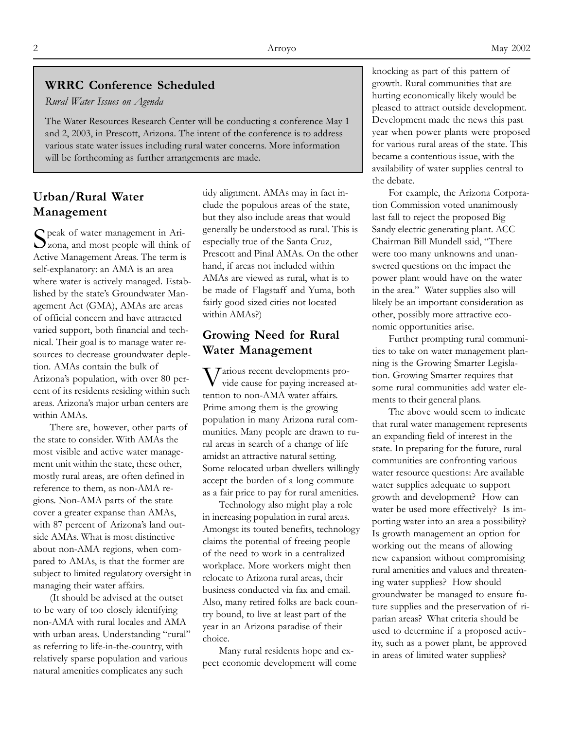#### **WRRC Conference Scheduled**

*Rural Water Issues on Agenda*

The Water Resources Research Center will be conducting a conference May 1 and 2, 2003, in Prescott, Arizona. The intent of the conference is to address various state water issues including rural water concerns. More information will be forthcoming as further arrangements are made.

## **Urban/Rural Water Management**

Speak of water management in Ari- $\sum$ zona, and most people will think of Active Management Areas. The term is self-explanatory: an AMA is an area where water is actively managed. Established by the state's Groundwater Management Act (GMA), AMAs are areas of official concern and have attracted varied support, both financial and technical. Their goal is to manage water resources to decrease groundwater depletion. AMAs contain the bulk of Arizona's population, with over 80 percent of its residents residing within such areas. Arizona's major urban centers are within AMAs.

There are, however, other parts of the state to consider. With AMAs the most visible and active water management unit within the state, these other, mostly rural areas, are often defined in reference to them, as non-AMA regions. Non-AMA parts of the state cover a greater expanse than AMAs, with 87 percent of Arizona's land outside AMAs. What is most distinctive about non-AMA regions, when compared to AMAs, is that the former are subject to limited regulatory oversight in managing their water affairs.

(It should be advised at the outset to be wary of too closely identifying non-AMA with rural locales and AMA with urban areas. Understanding "rural" as referring to life-in-the-country, with relatively sparse population and various natural amenities complicates any such

tidy alignment. AMAs may in fact include the populous areas of the state, but they also include areas that would generally be understood as rural. This is especially true of the Santa Cruz, Prescott and Pinal AMAs*.* On the other hand, if areas not included within AMAs are viewed as rural, what is to be made of Flagstaff and Yuma, both fairly good sized cities not located within AMAs?)

#### **Growing Need for Rural Water Management**

 $\int$ arious recent developments provide cause for paying increased attention to non-AMA water affairs. Prime among them is the growing population in many Arizona rural communities. Many people are drawn to rural areas in search of a change of life amidst an attractive natural setting. Some relocated urban dwellers willingly accept the burden of a long commute as a fair price to pay for rural amenities.

Technology also might play a role in increasing population in rural areas. Amongst its touted benefits, technology claims the potential of freeing people of the need to work in a centralized workplace. More workers might then relocate to Arizona rural areas, their business conducted via fax and email. Also, many retired folks are back country bound, to live at least part of the year in an Arizona paradise of their choice.

Many rural residents hope and expect economic development will come knocking as part of this pattern of growth. Rural communities that are hurting economically likely would be pleased to attract outside development. Development made the news this past year when power plants were proposed for various rural areas of the state. This became a contentious issue, with the availability of water supplies central to the debate.

For example, the Arizona Corporation Commission voted unanimously last fall to reject the proposed Big Sandy electric generating plant. ACC Chairman Bill Mundell said, "There were too many unknowns and unanswered questions on the impact the power plant would have on the water in the area." Water supplies also will likely be an important consideration as other, possibly more attractive economic opportunities arise.

Further prompting rural communities to take on water management planning is the Growing Smarter Legislation. Growing Smarter requires that some rural communities add water elements to their general plans.

The above would seem to indicate that rural water management represents an expanding field of interest in the state. In preparing for the future, rural communities are confronting various water resource questions: Are available water supplies adequate to support growth and development? How can water be used more effectively? Is importing water into an area a possibility? Is growth management an option for working out the means of allowing new expansion without compromising rural amenities and values and threatening water supplies? How should groundwater be managed to ensure future supplies and the preservation of riparian areas? What criteria should be used to determine if a proposed activity, such as a power plant, be approved in areas of limited water supplies?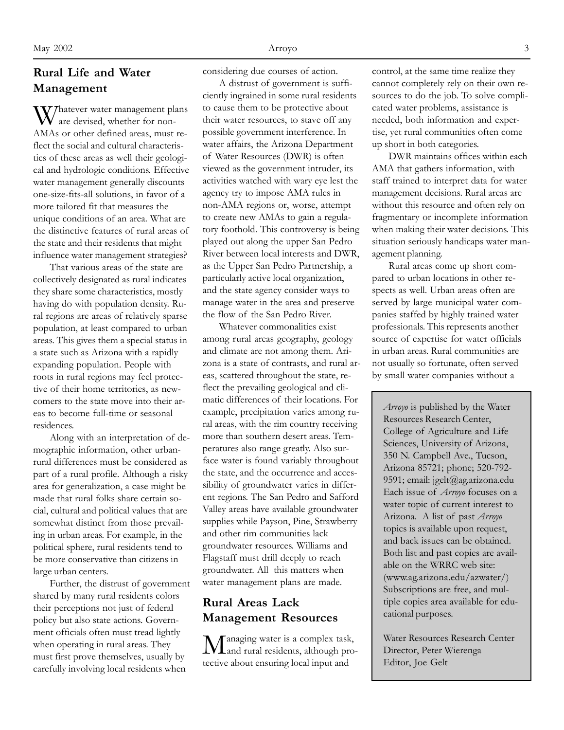# **Rural Life and Water Management**

Whatever water management plans are devised, whether for non-AMAs or other defined areas, must reflect the social and cultural characteristics of these areas as well their geological and hydrologic conditions. Effective water management generally discounts one-size-fits-all solutions, in favor of a more tailored fit that measures the unique conditions of an area. What are the distinctive features of rural areas of the state and their residents that might influence water management strategies?

That various areas of the state are collectively designated as rural indicates they share some characteristics, mostly having do with population density. Rural regions are areas of relatively sparse population, at least compared to urban areas. This gives them a special status in a state such as Arizona with a rapidly expanding population. People with roots in rural regions may feel protective of their home territories, as newcomers to the state move into their areas to become full-time or seasonal residences.

Along with an interpretation of demographic information, other urbanrural differences must be considered as part of a rural profile. Although a risky area for generalization, a case might be made that rural folks share certain social, cultural and political values that are somewhat distinct from those prevailing in urban areas. For example, in the political sphere, rural residents tend to be more conservative than citizens in large urban centers.

Further, the distrust of government shared by many rural residents colors their perceptions not just of federal policy but also state actions. Government officials often must tread lightly when operating in rural areas. They must first prove themselves, usually by carefully involving local residents when

considering due courses of action.

A distrust of government is sufficiently ingrained in some rural residents to cause them to be protective about their water resources, to stave off any possible government interference. In water affairs, the Arizona Department of Water Resources (DWR) is often viewed as the government intruder, its activities watched with wary eye lest the agency try to impose AMA rules in non-AMA regions or, worse, attempt to create new AMAs to gain a regulatory foothold. This controversy is being played out along the upper San Pedro River between local interests and DWR, as the Upper San Pedro Partnership, a particularly active local organization, and the state agency consider ways to manage water in the area and preserve the flow of the San Pedro River.

Whatever commonalities exist among rural areas geography, geology and climate are not among them. Arizona is a state of contrasts, and rural areas, scattered throughout the state, reflect the prevailing geological and climatic differences of their locations. For example, precipitation varies among rural areas, with the rim country receiving more than southern desert areas. Temperatures also range greatly. Also surface water is found variably throughout the state, and the occurrence and accessibility of groundwater varies in different regions. The San Pedro and Safford Valley areas have available groundwater supplies while Payson, Pine, Strawberry and other rim communities lack groundwater resources. Williams and Flagstaff must drill deeply to reach groundwater. All this matters when water management plans are made.

# **Rural Areas Lack Management Resources**

anaging water is a complex task, and rural residents, although protective about ensuring local input and

control, at the same time realize they cannot completely rely on their own resources to do the job. To solve complicated water problems, assistance is needed, both information and expertise, yet rural communities often come up short in both categories.

DWR maintains offices within each AMA that gathers information, with staff trained to interpret data for water management decisions. Rural areas are without this resource and often rely on fragmentary or incomplete information when making their water decisions. This situation seriously handicaps water management planning.

Rural areas come up short compared to urban locations in other respects as well. Urban areas often are served by large municipal water companies staffed by highly trained water professionals. This represents another source of expertise for water officials in urban areas. Rural communities are not usually so fortunate, often served by small water companies without a

*Arroyo* is published by the Water Resources Research Center, College of Agriculture and Life Sciences, University of Arizona, 350 N. Campbell Ave., Tucson, Arizona 85721; phone; 520-792- 9591; email: jgelt@ag.arizona.edu Each issue of *Arroyo* focuses on a water topic of current interest to Arizona. A list of past *Arroyo* topics is available upon request, and back issues can be obtained. Both list and past copies are available on the WRRC web site: (www.ag.arizona.edu/azwater/) Subscriptions are free, and multiple copies area available for educational purposes.

Water Resources Research Center Director, Peter Wierenga Editor, Joe Gelt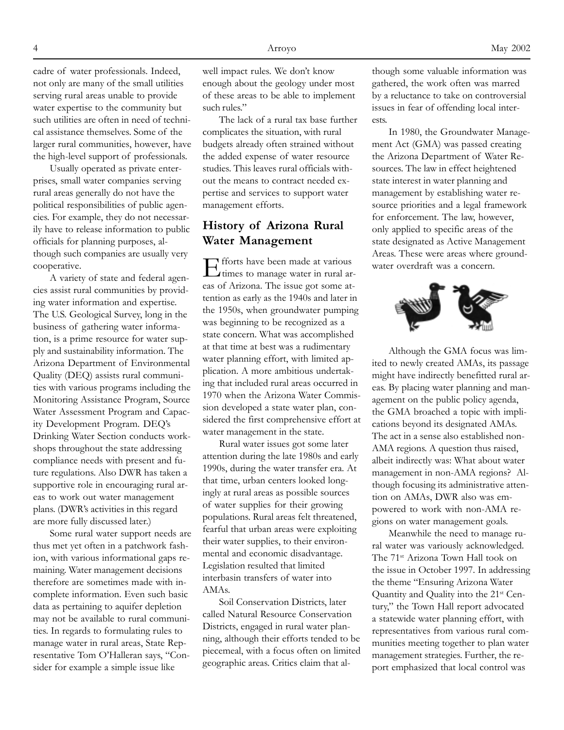cadre of water professionals. Indeed, not only are many of the small utilities serving rural areas unable to provide water expertise to the community but such utilities are often in need of technical assistance themselves. Some of the larger rural communities, however, have the high-level support of professionals.

Usually operated as private enterprises, small water companies serving rural areas generally do not have the political responsibilities of public agencies. For example, they do not necessarily have to release information to public officials for planning purposes, although such companies are usually very cooperative.

A variety of state and federal agencies assist rural communities by providing water information and expertise. The U.S. Geological Survey, long in the business of gathering water information, is a prime resource for water supply and sustainability information. The Arizona Department of Environmental Quality (DEQ) assists rural communities with various programs including the Monitoring Assistance Program, Source Water Assessment Program and Capacity Development Program. DEQ's Drinking Water Section conducts workshops throughout the state addressing compliance needs with present and future regulations. Also DWR has taken a supportive role in encouraging rural areas to work out water management plans. (DWR's activities in this regard are more fully discussed later.)

Some rural water support needs are thus met yet often in a patchwork fashion, with various informational gaps remaining. Water management decisions therefore are sometimes made with incomplete information. Even such basic data as pertaining to aquifer depletion may not be available to rural communities. In regards to formulating rules to manage water in rural areas, State Representative Tom O'Halleran says, "Consider for example a simple issue like

well impact rules. We don't know enough about the geology under most of these areas to be able to implement such rules."

The lack of a rural tax base further complicates the situation, with rural budgets already often strained without the added expense of water resource studies. This leaves rural officials without the means to contract needed expertise and services to support water management efforts*.*

#### **History of Arizona Rural Water Management**

Efforts have been made at various times to manage water in rural areas of Arizona. The issue got some attention as early as the 1940s and later in the 1950s, when groundwater pumping was beginning to be recognized as a state concern. What was accomplished at that time at best was a rudimentary water planning effort, with limited application. A more ambitious undertaking that included rural areas occurred in 1970 when the Arizona Water Commission developed a state water plan, considered the first comprehensive effort at water management in the state.

Rural water issues got some later attention during the late 1980s and early 1990s, during the water transfer era. At that time, urban centers looked longingly at rural areas as possible sources of water supplies for their growing populations. Rural areas felt threatened, fearful that urban areas were exploiting their water supplies, to their environmental and economic disadvantage. Legislation resulted that limited interbasin transfers of water into AMAs.

Soil Conservation Districts, later called Natural Resource Conservation Districts, engaged in rural water planning, although their efforts tended to be piecemeal, with a focus often on limited geographic areas. Critics claim that although some valuable information was gathered, the work often was marred by a reluctance to take on controversial issues in fear of offending local interests.

In 1980, the Groundwater Management Act (GMA) was passed creating the Arizona Department of Water Resources. The law in effect heightened state interest in water planning and management by establishing water resource priorities and a legal framework for enforcement. The law, however, only applied to specific areas of the state designated as Active Management Areas. These were areas where groundwater overdraft was a concern.



Although the GMA focus was limited to newly created AMAs, its passage might have indirectly benefitted rural areas. By placing water planning and management on the public policy agenda, the GMA broached a topic with implications beyond its designated AMAs. The act in a sense also established non-AMA regions. A question thus raised, albeit indirectly was: What about water management in non-AMA regions? Although focusing its administrative attention on AMAs, DWR also was empowered to work with non-AMA regions on water management goals.

Meanwhile the need to manage rural water was variously acknowledged. The 71st Arizona Town Hall took on the issue in October 1997. In addressing the theme "Ensuring Arizona Water Quantity and Quality into the 21st Century," the Town Hall report advocated a statewide water planning effort, with representatives from various rural communities meeting together to plan water management strategies. Further, the report emphasized that local control was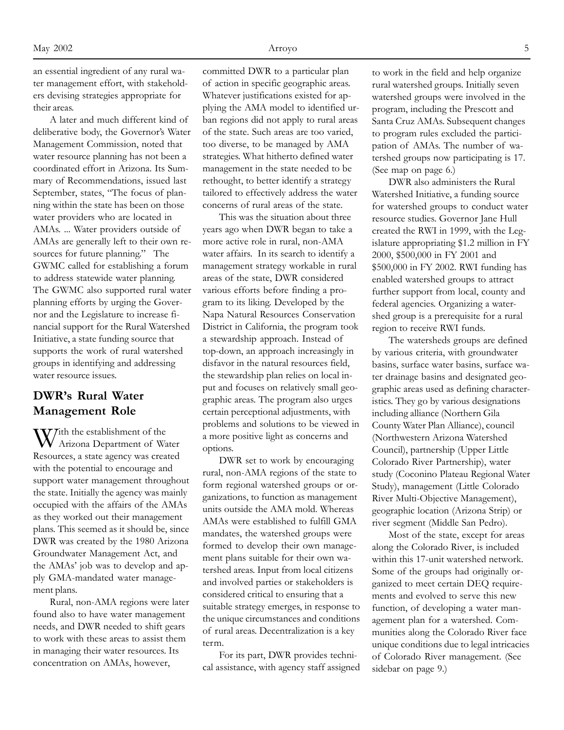an essential ingredient of any rural water management effort, with stakeholders devising strategies appropriate for their areas.

A later and much different kind of deliberative body, the Governor's Water Management Commission, noted that water resource planning has not been a coordinated effort in Arizona. Its Summary of Recommendations, issued last September, states, "The focus of planning within the state has been on those water providers who are located in AMAs. ... Water providers outside of AMAs are generally left to their own resources for future planning." The GWMC called for establishing a forum to address statewide water planning. The GWMC also supported rural water planning efforts by urging the Governor and the Legislature to increase financial support for the Rural Watershed Initiative, a state funding source that supports the work of rural watershed groups in identifying and addressing water resource issues.

## **DWR's Rural Water Management Role**

 $\mathbf{W}^{\text{ith the establishment of the}}$ Arizona Department of Water Resources, a state agency was created with the potential to encourage and support water management throughout the state. Initially the agency was mainly occupied with the affairs of the AMAs as they worked out their management plans. This seemed as it should be, since DWR was created by the 1980 Arizona Groundwater Management Act, and the AMAs' job was to develop and apply GMA-mandated water management plans.

Rural, non-AMA regions were later found also to have water management needs, and DWR needed to shift gears to work with these areas to assist them in managing their water resources. Its concentration on AMAs, however,

committed DWR to a particular plan of action in specific geographic areas. Whatever justifications existed for applying the AMA model to identified urban regions did not apply to rural areas of the state. Such areas are too varied, too diverse, to be managed by AMA strategies. What hitherto defined water management in the state needed to be rethought, to better identify a strategy tailored to effectively address the water concerns of rural areas of the state.

This was the situation about three years ago when DWR began to take a more active role in rural, non-AMA water affairs. In its search to identify a management strategy workable in rural areas of the state, DWR considered various efforts before finding a program to its liking. Developed by the Napa Natural Resources Conservation District in California, the program took a stewardship approach. Instead of top-down, an approach increasingly in disfavor in the natural resources field, the stewardship plan relies on local input and focuses on relatively small geographic areas. The program also urges certain perceptional adjustments, with problems and solutions to be viewed in a more positive light as concerns and options.

DWR set to work by encouraging rural, non-AMA regions of the state to form regional watershed groups or organizations, to function as management units outside the AMA mold. Whereas AMAs were established to fulfill GMA mandates, the watershed groups were formed to develop their own management plans suitable for their own watershed areas. Input from local citizens and involved parties or stakeholders is considered critical to ensuring that a suitable strategy emerges, in response to the unique circumstances and conditions of rural areas. Decentralization is a key term.

For its part, DWR provides technical assistance, with agency staff assigned to work in the field and help organize rural watershed groups. Initially seven watershed groups were involved in the program, including the Prescott and Santa Cruz AMAs. Subsequent changes to program rules excluded the participation of AMAs. The number of watershed groups now participating is 17. (See map on page 6.)

DWR also administers the Rural Watershed Initiative, a funding source for watershed groups to conduct water resource studies. Governor Jane Hull created the RWI in 1999, with the Legislature appropriating \$1.2 million in FY 2000, \$500,000 in FY 2001 and \$500,000 in FY 2002. RWI funding has enabled watershed groups to attract further support from local, county and federal agencies. Organizing a watershed group is a prerequisite for a rural region to receive RWI funds.

The watersheds groups are defined by various criteria, with groundwater basins, surface water basins, surface water drainage basins and designated geographic areas used as defining characteristics. They go by various designations including alliance (Northern Gila County Water Plan Alliance), council (Northwestern Arizona Watershed Council), partnership (Upper Little Colorado River Partnership), water study (Coconino Plateau Regional Water Study), management (Little Colorado River Multi-Objective Management), geographic location (Arizona Strip) or river segment (Middle San Pedro).

Most of the state, except for areas along the Colorado River, is included within this 17-unit watershed network. Some of the groups had originally organized to meet certain DEQ requirements and evolved to serve this new function, of developing a water management plan for a watershed. Communities along the Colorado River face unique conditions due to legal intricacies of Colorado River management. (See sidebar on page 9.)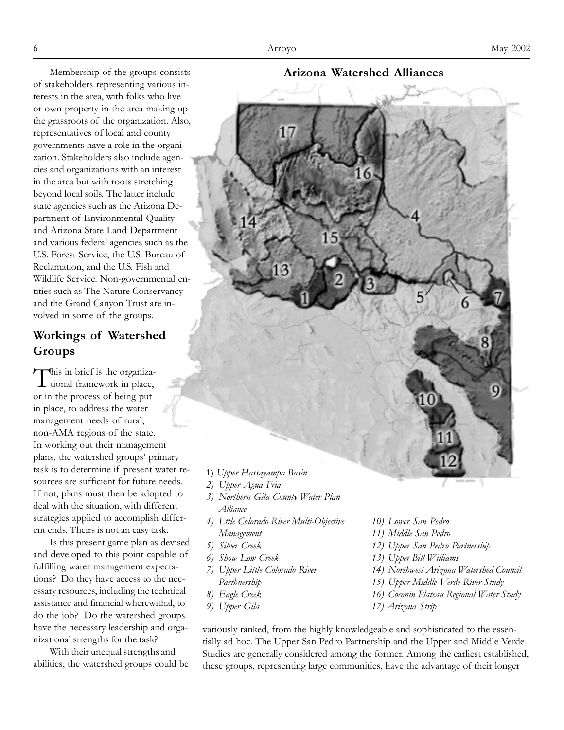Membership of the groups consists of stakeholders representing various interests in the area, with folks who live or own property in the area making up the grassroots of the organization. Also, representatives of local and county governments have a role in the organization. Stakeholders also include agencies and organizations with an interest in the area but with roots stretching beyond local soils. The latter include state agencies such as the Arizona Department of Environmental Quality and Arizona State Land Department and various federal agencies such as the U.S. Forest Service, the U.S. Bureau of Reclamation, and the U.S. Fish and Wildlife Service. Non-governmental entities such as The Nature Conservancy and the Grand Canyon Trust are involved in some of the groups.

# **Workings of Watershed Groups**

This in brief is the organiza-<br>tional framework in place, or in the process of being put in place, to address the water management needs of rural, non-AMA regions of the state. In working out their management plans, the watershed groups' primary task is to determine if present water resources are sufficient for future needs. If not, plans must then be adopted to deal with the situation, with different strategies applied to accomplish different ends. Theirs is not an easy task.

Is this present game plan as devised and developed to this point capable of fulfilling water management expectations? Do they have access to the necessary resources, including the technical assistance and financial wherewithal, to do the job? Do the watershed groups have the necessary leadership and organizational strengths for the task?

With their unequal strengths and abilities, the watershed groups could be **Arizona Watershed Alliances**



- 
- *3) Northern Gila County Water Plan Alliance*
- *4) Lttle Colorado River Multi-Objective Management*
- *5) Silver Creek*
- *6) Show Low Creek*
- *7) Upper Little Colorado River Parthnership*
- *8) Eagle Creek*
- *9) Upper Gila*
- *10) Lower San Pedro*
- *11) Middle San Pedro*
- *12) Upper San Pedro Partnership*
- *13) Upper Bill Williams*
- *14) Northwest Arizona Watershed Council*
- *15) Upper Middle Verde River Study*
- *16) Coconin Plateau Regional Water Study*
- *17) Arizona Strip*

variously ranked, from the highly knowledgeable and sophisticated to the essentially ad hoc. The Upper San Pedro Partnership and the Upper and Middle Verde Studies are generally considered among the former. Among the earliest established, these groups, representing large communities, have the advantage of their longer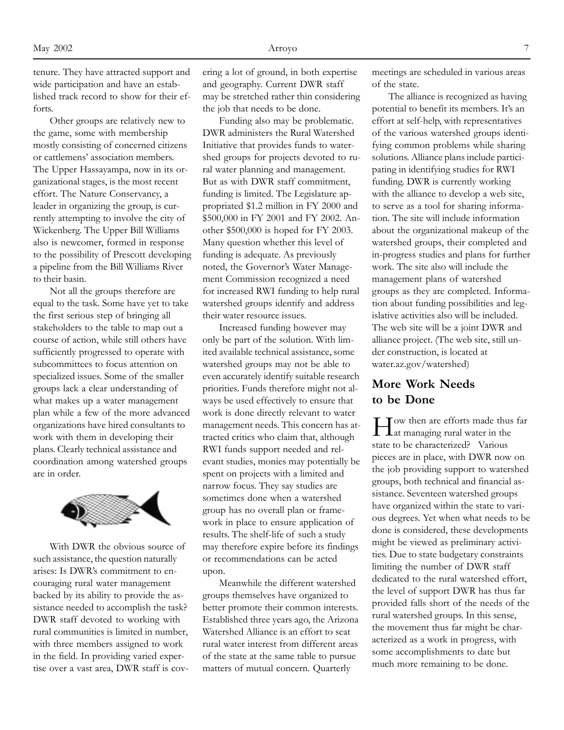tenure. They have attracted support and wide participation and have an established track record to show for their efforts.

Other groups are relatively new to the game, some with membership mostly consisting of concerned citizens or cattlemens' association members. The Upper Hassayampa, now in its organizational stages, is the most recent effort. The Nature Conservancy, a leader in organizing the group, is currently attempting to involve the city of Wickenberg. The Upper Bill Williams also is newcomer, formed in response to the possibility of Prescott developing a pipeline from the Bill Williams River to their basin.

Not all the groups therefore are equal to the task. Some have yet to take the first serious step of bringing all stakeholders to the table to map out a course of action, while still others have sufficiently progressed to operate with subcommittees to focus attention on specialized issues. Some of the smaller groups lack a clear understanding of what makes up a water management plan while a few of the more advanced organizations have hired consultants to work with them in developing their plans. Clearly technical assistance and coordination among watershed groups are in order.



With DWR the obvious source of such assistance, the question naturally arises: Is DWR's commitment to encouraging rural water management backed by its ability to provide the assistance needed to accomplish the task? DWR staff devoted to working with rural communities is limited in number, with three members assigned to work in the field. In providing varied expertise over a vast area, DWR staff is covering a lot of ground, in both expertise and geography. Current DWR staff may be stretched rather thin considering the job that needs to be done.

Funding also may be problematic. DWR administers the Rural Watershed Initiative that provides funds to watershed groups for projects devoted to rural water planning and management. But as with DWR staff commitment, funding is limited. The Legislature appropriated \$1.2 million in FY 2000 and \$500,000 in FY 2001 and FY 2002. Another \$500,000 is hoped for FY 2003. Many question whether this level of funding is adequate. As previously noted, the Governor's Water Management Commission recognized a need for increased RWI funding to help rural watershed groups identify and address their water resource issues.

Increased funding however may only be part of the solution. With limited available technical assistance, some watershed groups may not be able to even accurately identify suitable research priorities. Funds therefore might not always be used effectively to ensure that work is done directly relevant to water management needs. This concern has attracted critics who claim that, although RWI funds support needed and relevant studies, monies may potentially be spent on projects with a limited and narrow focus. They say studies are sometimes done when a watershed group has no overall plan or framework in place to ensure application of results. The shelf-life of such a study may therefore expire before its findings or recommendations can be acted upon.

Meanwhile the different watershed groups themselves have organized to better promote their common interests. Established three years ago, the Arizona Watershed Alliance is an effort to seat rural water interest from different areas of the state at the same table to pursue matters of mutual concern. Quarterly

meetings are scheduled in various areas of the state.

The alliance is recognized as having potential to benefit its members. It's an effort at self-help, with representatives of the various watershed groups identifying common problems while sharing solutions. Alliance plans include participating in identifying studies for RWI funding. DWR is currently working with the alliance to develop a web site, to serve as a tool for sharing information. The site will include information about the organizational makeup of the watershed groups, their completed and in-progress studies and plans for further work. The site also will include the management plans of watershed groups as they are completed. Information about funding possibilities and legislative activities also will be included. The web site will be a joint DWR and alliance project. (The web site, still under construction, is located at water.az.gov/watershed)

#### **More Work Needs to be Done**

How then are efforts made thus far at managing rural water in the state to be characterized? Various pieces are in place, with DWR now on the job providing support to watershed groups, both technical and financial assistance. Seventeen watershed groups have organized within the state to various degrees. Yet when what needs to be done is considered, these developments might be viewed as preliminary activities. Due to state budgetary constraints limiting the number of DWR staff dedicated to the rural watershed effort, the level of support DWR has thus far provided falls short of the needs of the rural watershed groups. In this sense, the movement thus far might be characterized as a work in progress, with some accomplishments to date but much more remaining to be done.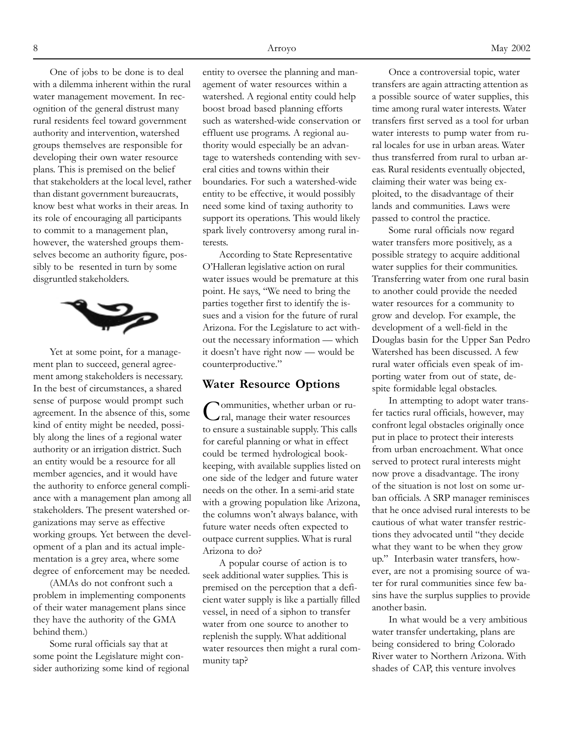One of jobs to be done is to deal with a dilemma inherent within the rural water management movement. In recognition of the general distrust many rural residents feel toward government authority and intervention, watershed groups themselves are responsible for developing their own water resource plans. This is premised on the belief that stakeholders at the local level, rather than distant government bureaucrats, know best what works in their areas. In its role of encouraging all participants to commit to a management plan, however, the watershed groups themselves become an authority figure, possibly to be resented in turn by some disgruntled stakeholders.



Yet at some point, for a management plan to succeed, general agreement among stakeholders is necessary. In the best of circumstances, a shared sense of purpose would prompt such agreement. In the absence of this, some kind of entity might be needed, possibly along the lines of a regional water authority or an irrigation district. Such an entity would be a resource for all member agencies, and it would have the authority to enforce general compliance with a management plan among all stakeholders. The present watershed organizations may serve as effective working groups. Yet between the development of a plan and its actual implementation is a grey area, where some degree of enforcement may be needed.

(AMAs do not confront such a problem in implementing components of their water management plans since they have the authority of the GMA behind them.)

Some rural officials say that at some point the Legislature might consider authorizing some kind of regional entity to oversee the planning and management of water resources within a watershed. A regional entity could help boost broad based planning efforts such as watershed-wide conservation or effluent use programs. A regional authority would especially be an advantage to watersheds contending with several cities and towns within their boundaries. For such a watershed-wide entity to be effective, it would possibly need some kind of taxing authority to support its operations. This would likely spark lively controversy among rural interests.

According to State Representative O'Halleran legislative action on rural water issues would be premature at this point. He says, "We need to bring the parties together first to identify the issues and a vision for the future of rural Arizona. For the Legislature to act without the necessary information — which it doesn't have right now — would be counterproductive."

#### **Water Resource Options**

Communities, whether urban or rural, manage their water resources to ensure a sustainable supply. This calls for careful planning or what in effect could be termed hydrological bookkeeping, with available supplies listed on one side of the ledger and future water needs on the other. In a semi-arid state with a growing population like Arizona, the columns won't always balance, with future water needs often expected to outpace current supplies. What is rural Arizona to do?

A popular course of action is to seek additional water supplies. This is premised on the perception that a deficient water supply is like a partially filled vessel, in need of a siphon to transfer water from one source to another to replenish the supply. What additional water resources then might a rural community tap?

Once a controversial topic, water transfers are again attracting attention as a possible source of water supplies, this time among rural water interests. Water transfers first served as a tool for urban water interests to pump water from rural locales for use in urban areas. Water thus transferred from rural to urban areas. Rural residents eventually objected, claiming their water was being exploited, to the disadvantage of their lands and communities. Laws were passed to control the practice.

Some rural officials now regard water transfers more positively, as a possible strategy to acquire additional water supplies for their communities. Transferring water from one rural basin to another could provide the needed water resources for a community to grow and develop. For example, the development of a well-field in the Douglas basin for the Upper San Pedro Watershed has been discussed. A few rural water officials even speak of importing water from out of state, despite formidable legal obstacles.

In attempting to adopt water transfer tactics rural officials, however, may confront legal obstacles originally once put in place to protect their interests from urban encroachment. What once served to protect rural interests might now prove a disadvantage. The irony of the situation is not lost on some urban officials. A SRP manager reminisces that he once advised rural interests to be cautious of what water transfer restrictions they advocated until "they decide what they want to be when they grow up." Interbasin water transfers, however, are not a promising source of water for rural communities since few basins have the surplus supplies to provide another basin.

In what would be a very ambitious water transfer undertaking, plans are being considered to bring Colorado River water to Northern Arizona. With shades of CAP, this venture involves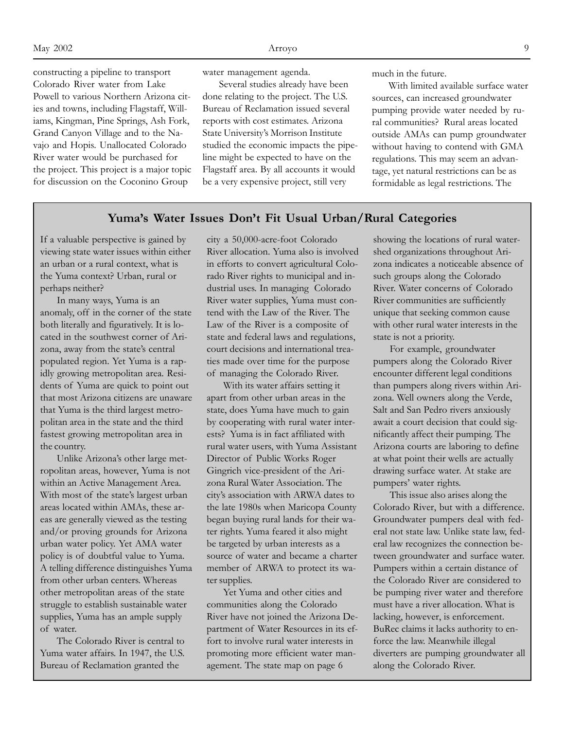constructing a pipeline to transport Colorado River water from Lake Powell to various Northern Arizona cities and towns, including Flagstaff, Williams, Kingman, Pine Springs, Ash Fork, Grand Canyon Village and to the Navajo and Hopis. Unallocated Colorado River water would be purchased for the project. This project is a major topic for discussion on the Coconino Group

water management agenda.

Several studies already have been done relating to the project. The U.S. Bureau of Reclamation issued several reports with cost estimates. Arizona State University's Morrison Institute studied the economic impacts the pipeline might be expected to have on the Flagstaff area. By all accounts it would be a very expensive project, still very

much in the future.

With limited available surface water sources, can increased groundwater pumping provide water needed by rural communities? Rural areas located outside AMAs can pump groundwater without having to contend with GMA regulations. This may seem an advantage, yet natural restrictions can be as formidable as legal restrictions. The

#### **Yuma's Water Issues Don't Fit Usual Urban/Rural Categories**

If a valuable perspective is gained by viewing state water issues within either an urban or a rural context, what is the Yuma context? Urban, rural or perhaps neither?

In many ways, Yuma is an anomaly, off in the corner of the state both literally and figuratively. It is located in the southwest corner of Arizona, away from the state's central populated region. Yet Yuma is a rapidly growing metropolitan area. Residents of Yuma are quick to point out that most Arizona citizens are unaware that Yuma is the third largest metropolitan area in the state and the third fastest growing metropolitan area in the country.

Unlike Arizona's other large metropolitan areas, however, Yuma is not within an Active Management Area. With most of the state's largest urban areas located within AMAs, these areas are generally viewed as the testing and/or proving grounds for Arizona urban water policy. Yet AMA water policy is of doubtful value to Yuma. A telling difference distinguishes Yuma from other urban centers. Whereas other metropolitan areas of the state struggle to establish sustainable water supplies, Yuma has an ample supply of water.

The Colorado River is central to Yuma water affairs. In 1947, the U.S. Bureau of Reclamation granted the

city a 50,000-acre-foot Colorado River allocation. Yuma also is involved in efforts to convert agricultural Colorado River rights to municipal and industrial uses. In managing Colorado River water supplies, Yuma must contend with the Law of the River. The Law of the River is a composite of state and federal laws and regulations, court decisions and international treaties made over time for the purpose of managing the Colorado River.

With its water affairs setting it apart from other urban areas in the state, does Yuma have much to gain by cooperating with rural water interests? Yuma is in fact affiliated with rural water users, with Yuma Assistant Director of Public Works Roger Gingrich vice-president of the Arizona Rural Water Association. The city's association with ARWA dates to the late 1980s when Maricopa County began buying rural lands for their water rights. Yuma feared it also might be targeted by urban interests as a source of water and became a charter member of ARWA to protect its water supplies.

Yet Yuma and other cities and communities along the Colorado River have not joined the Arizona Department of Water Resources in its effort to involve rural water interests in promoting more efficient water management. The state map on page 6

showing the locations of rural watershed organizations throughout Arizona indicates a noticeable absence of such groups along the Colorado River. Water concerns of Colorado River communities are sufficiently unique that seeking common cause with other rural water interests in the state is not a priority.

For example, groundwater pumpers along the Colorado River encounter different legal conditions than pumpers along rivers within Arizona. Well owners along the Verde, Salt and San Pedro rivers anxiously await a court decision that could significantly affect their pumping. The Arizona courts are laboring to define at what point their wells are actually drawing surface water. At stake are pumpers' water rights.

This issue also arises along the Colorado River, but with a difference. Groundwater pumpers deal with federal not state law. Unlike state law, federal law recognizes the connection between groundwater and surface water. Pumpers within a certain distance of the Colorado River are considered to be pumping river water and therefore must have a river allocation. What is lacking, however, is enforcement. BuRec claims it lacks authority to enforce the law. Meanwhile illegal diverters are pumping groundwater all along the Colorado River.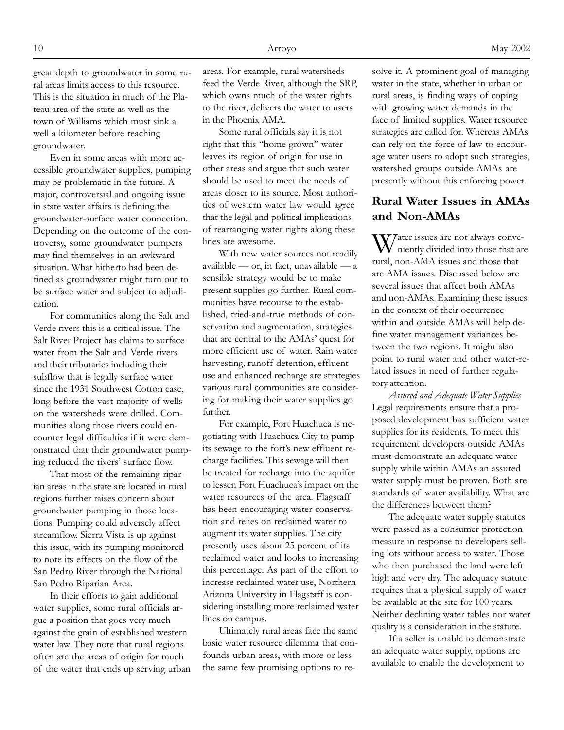great depth to groundwater in some rural areas limits access to this resource. This is the situation in much of the Plateau area of the state as well as the town of Williams which must sink a well a kilometer before reaching groundwater.

Even in some areas with more accessible groundwater supplies, pumping may be problematic in the future. A major, controversial and ongoing issue in state water affairs is defining the groundwater-surface water connection. Depending on the outcome of the controversy, some groundwater pumpers may find themselves in an awkward situation. What hitherto had been defined as groundwater might turn out to be surface water and subject to adjudication.

For communities along the Salt and Verde rivers this is a critical issue. The Salt River Project has claims to surface water from the Salt and Verde rivers and their tributaries including their subflow that is legally surface water since the 1931 Southwest Cotton case, long before the vast majority of wells on the watersheds were drilled. Communities along those rivers could encounter legal difficulties if it were demonstrated that their groundwater pumping reduced the rivers' surface flow.

That most of the remaining riparian areas in the state are located in rural regions further raises concern about groundwater pumping in those locations. Pumping could adversely affect streamflow. Sierra Vista is up against this issue, with its pumping monitored to note its effects on the flow of the San Pedro River through the National San Pedro Riparian Area.

In their efforts to gain additional water supplies, some rural officials argue a position that goes very much against the grain of established western water law. They note that rural regions often are the areas of origin for much of the water that ends up serving urban areas. For example, rural watersheds feed the Verde River, although the SRP, which owns much of the water rights to the river, delivers the water to users in the Phoenix AMA.

Some rural officials say it is not right that this "home grown" water leaves its region of origin for use in other areas and argue that such water should be used to meet the needs of areas closer to its source. Most authorities of western water law would agree that the legal and political implications of rearranging water rights along these lines are awesome.

With new water sources not readily available — or, in fact, unavailable — a sensible strategy would be to make present supplies go further. Rural communities have recourse to the established, tried-and-true methods of conservation and augmentation, strategies that are central to the AMAs' quest for more efficient use of water. Rain water harvesting, runoff detention, effluent use and enhanced recharge are strategies various rural communities are considering for making their water supplies go further.

For example, Fort Huachuca is negotiating with Huachuca City to pump its sewage to the fort's new effluent recharge facilities. This sewage will then be treated for recharge into the aquifer to lessen Fort Huachuca's impact on the water resources of the area. Flagstaff has been encouraging water conservation and relies on reclaimed water to augment its water supplies. The city presently uses about 25 percent of its reclaimed water and looks to increasing this percentage. As part of the effort to increase reclaimed water use, Northern Arizona University in Flagstaff is considering installing more reclaimed water lines on campus.

Ultimately rural areas face the same basic water resource dilemma that confounds urban areas, with more or less the same few promising options to resolve it. A prominent goal of managing water in the state, whether in urban or rural areas, is finding ways of coping with growing water demands in the face of limited supplies. Water resource strategies are called for. Whereas AMAs can rely on the force of law to encourage water users to adopt such strategies, watershed groups outside AMAs are presently without this enforcing power.

## **Rural Water Issues in AMAs and Non-AMAs**

W/ater issues are not always conveniently divided into those that are rural, non-AMA issues and those that are AMA issues. Discussed below are several issues that affect both AMAs and non-AMAs. Examining these issues in the context of their occurrence within and outside AMAs will help define water management variances between the two regions. It might also point to rural water and other water-related issues in need of further regulatory attention.

*Assured and Adequate Water Supplies* Legal requirements ensure that a proposed development has sufficient water supplies for its residents. To meet this requirement developers outside AMAs must demonstrate an adequate water supply while within AMAs an assured water supply must be proven. Both are standards of water availability. What are the differences between them?

The adequate water supply statutes were passed as a consumer protection measure in response to developers selling lots without access to water. Those who then purchased the land were left high and very dry. The adequacy statute requires that a physical supply of water be available at the site for 100 years. Neither declining water tables nor water quality is a consideration in the statute.

If a seller is unable to demonstrate an adequate water supply, options are available to enable the development to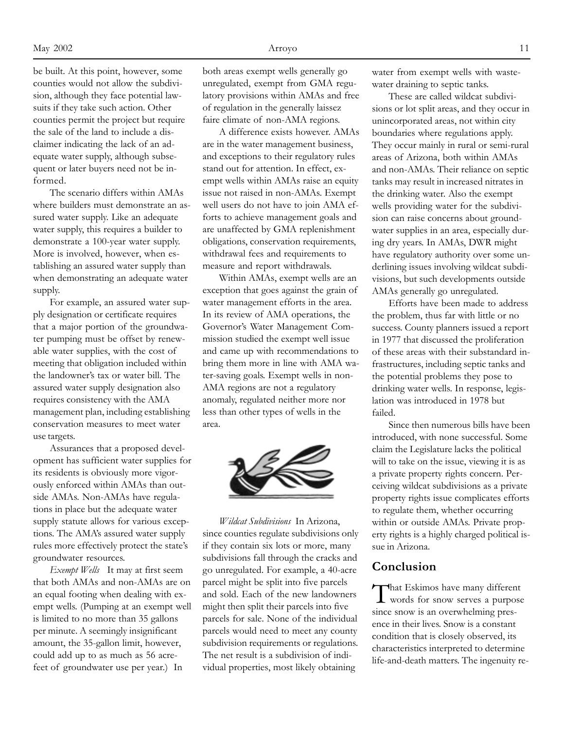be built. At this point, however, some counties would not allow the subdivision, although they face potential lawsuits if they take such action. Other counties permit the project but require the sale of the land to include a disclaimer indicating the lack of an adequate water supply, although subsequent or later buyers need not be informed.

The scenario differs within AMAs where builders must demonstrate an assured water supply. Like an adequate water supply, this requires a builder to demonstrate a 100-year water supply. More is involved, however, when establishing an assured water supply than when demonstrating an adequate water supply.

For example, an assured water supply designation or certificate requires that a major portion of the groundwater pumping must be offset by renewable water supplies, with the cost of meeting that obligation included within the landowner's tax or water bill. The assured water supply designation also requires consistency with the AMA management plan, including establishing conservation measures to meet water use targets.

Assurances that a proposed development has sufficient water supplies for its residents is obviously more vigorously enforced within AMAs than outside AMAs. Non-AMAs have regulations in place but the adequate water supply statute allows for various exceptions. The AMA's assured water supply rules more effectively protect the state's groundwater resources.

*Exempt Wells* It may at first seem that both AMAs and non-AMAs are on an equal footing when dealing with exempt wells. (Pumping at an exempt well is limited to no more than 35 gallons per minute. A seemingly insignificant amount, the 35-gallon limit, however, could add up to as much as 56 acrefeet of groundwater use per year.) In

both areas exempt wells generally go unregulated, exempt from GMA regulatory provisions within AMAs and free of regulation in the generally laissez faire climate of non-AMA regions.

A difference exists however. AMAs are in the water management business, and exceptions to their regulatory rules stand out for attention. In effect, exempt wells within AMAs raise an equity issue not raised in non-AMAs. Exempt well users do not have to join AMA efforts to achieve management goals and are unaffected by GMA replenishment obligations, conservation requirements, withdrawal fees and requirements to measure and report withdrawals.

Within AMAs, exempt wells are an exception that goes against the grain of water management efforts in the area. In its review of AMA operations, the Governor's Water Management Commission studied the exempt well issue and came up with recommendations to bring them more in line with AMA water-saving goals. Exempt wells in non-AMA regions are not a regulatory anomaly, regulated neither more nor less than other types of wells in the area.



*Wildcat Subdivisions* In Arizona, since counties regulate subdivisions only if they contain six lots or more, many subdivisions fall through the cracks and go unregulated. For example, a 40-acre parcel might be split into five parcels and sold. Each of the new landowners might then split their parcels into five parcels for sale. None of the individual parcels would need to meet any county subdivision requirements or regulations. The net result is a subdivision of individual properties, most likely obtaining

water from exempt wells with wastewater draining to septic tanks.

These are called wildcat subdivisions or lot split areas, and they occur in unincorporated areas, not within city boundaries where regulations apply. They occur mainly in rural or semi-rural areas of Arizona, both within AMAs and non-AMAs. Their reliance on septic tanks may result in increased nitrates in the drinking water. Also the exempt wells providing water for the subdivision can raise concerns about groundwater supplies in an area, especially during dry years. In AMAs, DWR might have regulatory authority over some underlining issues involving wildcat subdivisions, but such developments outside AMAs generally go unregulated.

Efforts have been made to address the problem, thus far with little or no success. County planners issued a report in 1977 that discussed the proliferation of these areas with their substandard infrastructures, including septic tanks and the potential problems they pose to drinking water wells. In response, legislation was introduced in 1978 but failed.

Since then numerous bills have been introduced, with none successful. Some claim the Legislature lacks the political will to take on the issue, viewing it is as a private property rights concern. Perceiving wildcat subdivisions as a private property rights issue complicates efforts to regulate them, whether occurring within or outside AMAs. Private property rights is a highly charged political issue in Arizona.

### **Conclusion**

That Eskimos have many different words for snow serves a purpose since snow is an overwhelming presence in their lives. Snow is a constant condition that is closely observed, its characteristics interpreted to determine life-and-death matters. The ingenuity re-